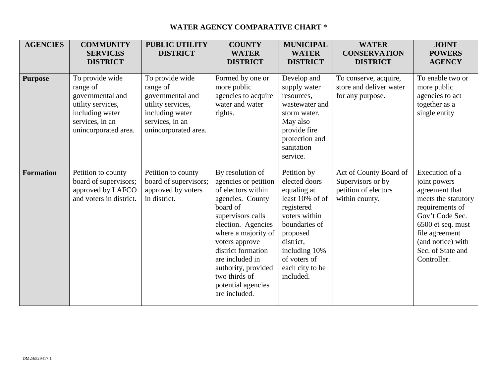## **WATER AGENCY COMPARATIVE CHART \***

| <b>AGENCIES</b>  | <b>COMMUNITY</b><br><b>SERVICES</b><br><b>DISTRICT</b>                                                                             | <b>PUBLIC UTILITY</b><br><b>DISTRICT</b>                                                                                           | <b>COUNTY</b><br><b>WATER</b><br><b>DISTRICT</b>                                                                                                                                                                                                                                                           | <b>MUNICIPAL</b><br><b>WATER</b><br><b>DISTRICT</b>                                                                                                                                                      | <b>WATER</b><br><b>CONSERVATION</b><br><b>DISTRICT</b>                                | <b>JOINT</b><br><b>POWERS</b><br><b>AGENCY</b>                                                                                                                                                                |
|------------------|------------------------------------------------------------------------------------------------------------------------------------|------------------------------------------------------------------------------------------------------------------------------------|------------------------------------------------------------------------------------------------------------------------------------------------------------------------------------------------------------------------------------------------------------------------------------------------------------|----------------------------------------------------------------------------------------------------------------------------------------------------------------------------------------------------------|---------------------------------------------------------------------------------------|---------------------------------------------------------------------------------------------------------------------------------------------------------------------------------------------------------------|
| <b>Purpose</b>   | To provide wide<br>range of<br>governmental and<br>utility services,<br>including water<br>services, in an<br>unincorporated area. | To provide wide<br>range of<br>governmental and<br>utility services,<br>including water<br>services, in an<br>unincorporated area. | Formed by one or<br>more public<br>agencies to acquire<br>water and water<br>rights.                                                                                                                                                                                                                       | Develop and<br>supply water<br>resources,<br>wastewater and<br>storm water.<br>May also<br>provide fire<br>protection and<br>sanitation<br>service.                                                      | To conserve, acquire,<br>store and deliver water<br>for any purpose.                  | To enable two or<br>more public<br>agencies to act<br>together as a<br>single entity                                                                                                                          |
| <b>Formation</b> | Petition to county<br>board of supervisors;<br>approved by LAFCO<br>and voters in district.                                        | Petition to county<br>board of supervisors;<br>approved by voters<br>in district.                                                  | By resolution of<br>agencies or petition<br>of electors within<br>agencies. County<br>board of<br>supervisors calls<br>election. Agencies<br>where a majority of<br>voters approve<br>district formation<br>are included in<br>authority, provided<br>two thirds of<br>potential agencies<br>are included. | Petition by<br>elected doors<br>equaling at<br>least 10% of of<br>registered<br>voters within<br>boundaries of<br>proposed<br>district,<br>including 10%<br>of voters of<br>each city to be<br>included. | Act of County Board of<br>Supervisors or by<br>petition of electors<br>within county. | Execution of a<br>joint powers<br>agreement that<br>meets the statutory<br>requirements of<br>Gov't Code Sec.<br>6500 et seq. must<br>file agreement<br>(and notice) with<br>Sec. of State and<br>Controller. |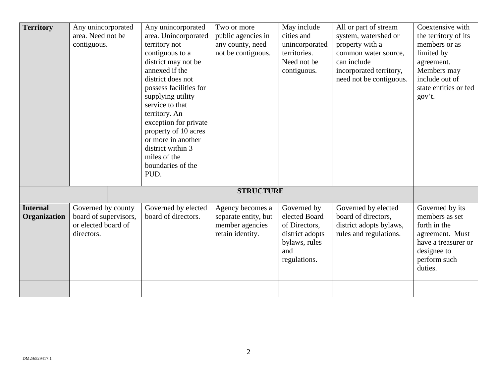| <b>Territory</b>                | Any unincorporated<br>area. Need not be<br>contiguous.                           |  | Any unincorporated<br>area. Unincorporated<br>territory not<br>contiguous to a<br>district may not be<br>annexed if the<br>district does not<br>possess facilities for<br>supplying utility<br>service to that<br>territory. An<br>exception for private | Two or more<br>public agencies in<br>any county, need<br>not be contiguous.     | May include<br>cities and<br>unincorporated<br>territories.<br>Need not be<br>contiguous.                | All or part of stream<br>system, watershed or<br>property with a<br>common water source,<br>can include<br>incorporated territory,<br>need not be contiguous. | Coextensive with<br>the territory of its<br>members or as<br>limited by<br>agreement.<br>Members may<br>include out of<br>state entities or fed<br>gov't. |
|---------------------------------|----------------------------------------------------------------------------------|--|----------------------------------------------------------------------------------------------------------------------------------------------------------------------------------------------------------------------------------------------------------|---------------------------------------------------------------------------------|----------------------------------------------------------------------------------------------------------|---------------------------------------------------------------------------------------------------------------------------------------------------------------|-----------------------------------------------------------------------------------------------------------------------------------------------------------|
|                                 |                                                                                  |  | property of 10 acres<br>or more in another<br>district within 3<br>miles of the<br>boundaries of the<br>PUD.                                                                                                                                             |                                                                                 |                                                                                                          |                                                                                                                                                               |                                                                                                                                                           |
|                                 | <b>STRUCTURE</b>                                                                 |  |                                                                                                                                                                                                                                                          |                                                                                 |                                                                                                          |                                                                                                                                                               |                                                                                                                                                           |
| <b>Internal</b><br>Organization | Governed by county<br>board of supervisors,<br>or elected board of<br>directors. |  | Governed by elected<br>board of directors.                                                                                                                                                                                                               | Agency becomes a<br>separate entity, but<br>member agencies<br>retain identity. | Governed by<br>elected Board<br>of Directors,<br>district adopts<br>bylaws, rules<br>and<br>regulations. | Governed by elected<br>board of directors,<br>district adopts bylaws,<br>rules and regulations.                                                               | Governed by its<br>members as set<br>forth in the<br>agreement. Must<br>have a treasurer or<br>designee to<br>perform such<br>duties.                     |
|                                 |                                                                                  |  |                                                                                                                                                                                                                                                          |                                                                                 |                                                                                                          |                                                                                                                                                               |                                                                                                                                                           |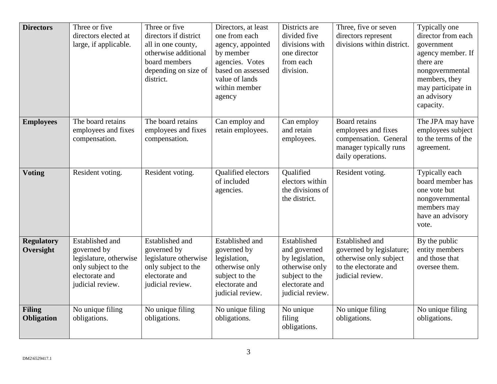| <b>Directors</b>               | Three or five<br>directors elected at<br>large, if applicable.                                                               | Three or five<br>directors if district<br>all in one county,<br>otherwise additional<br>board members<br>depending on size of<br>district. | Directors, at least<br>one from each<br>agency, appointed<br>by member<br>agencies. Votes<br>based on assessed<br>value of lands<br>within member<br>agency | Districts are<br>divided five<br>divisions with<br>one director<br>from each<br>division.                                | Three, five or seven<br>directors represent<br>divisions within district.                                          | Typically one<br>director from each<br>government<br>agency member. If<br>there are<br>nongovernmental<br>members, they<br>may participate in<br>an advisory<br>capacity. |
|--------------------------------|------------------------------------------------------------------------------------------------------------------------------|--------------------------------------------------------------------------------------------------------------------------------------------|-------------------------------------------------------------------------------------------------------------------------------------------------------------|--------------------------------------------------------------------------------------------------------------------------|--------------------------------------------------------------------------------------------------------------------|---------------------------------------------------------------------------------------------------------------------------------------------------------------------------|
| <b>Employees</b>               | The board retains<br>employees and fixes<br>compensation.                                                                    | The board retains<br>employees and fixes<br>compensation.                                                                                  | Can employ and<br>retain employees.                                                                                                                         | Can employ<br>and retain<br>employees.                                                                                   | Board retains<br>employees and fixes<br>compensation. General<br>manager typically runs<br>daily operations.       | The JPA may have<br>employees subject<br>to the terms of the<br>agreement.                                                                                                |
| <b>Voting</b>                  | Resident voting.                                                                                                             | Resident voting.                                                                                                                           | Qualified electors<br>of included<br>agencies.                                                                                                              | Qualified<br>electors within<br>the divisions of<br>the district.                                                        | Resident voting.                                                                                                   | Typically each<br>board member has<br>one vote but<br>nongovernmental<br>members may<br>have an advisory<br>vote.                                                         |
| <b>Regulatory</b><br>Oversight | <b>Established and</b><br>governed by<br>legislature, otherwise<br>only subject to the<br>electorate and<br>judicial review. | <b>Established and</b><br>governed by<br>legislature otherwise<br>only subject to the<br>electorate and<br>judicial review.                | <b>Established and</b><br>governed by<br>legislation,<br>otherwise only<br>subject to the<br>electorate and<br>judicial review.                             | Established<br>and governed<br>by legislation,<br>otherwise only<br>subject to the<br>electorate and<br>judicial review. | Established and<br>governed by legislature;<br>otherwise only subject<br>to the electorate and<br>judicial review. | By the public<br>entity members<br>and those that<br>oversee them.                                                                                                        |
| <b>Filing</b><br>Obligation    | No unique filing<br>obligations.                                                                                             | No unique filing<br>obligations.                                                                                                           | No unique filing<br>obligations.                                                                                                                            | No unique<br>filing<br>obligations.                                                                                      | No unique filing<br>obligations.                                                                                   | No unique filing<br>obligations.                                                                                                                                          |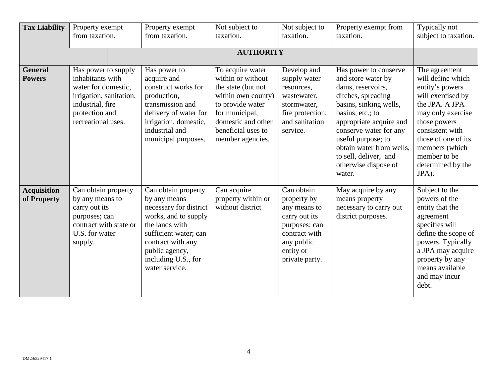| <b>Tax Liability</b>              | Property exempt<br>from taxation.                                                                                                                     |  | Property exempt<br>from taxation.                                                                                                                                                                                | Not subject to<br>taxation.                                                                                                                                                             | Not subject to<br>taxation.                                                                                                               | Property exempt from<br>taxation.                                                                                                                                                                                                                                                                      | Typically not<br>subject to taxation.                                                                                                                                                                                                       |  |  |
|-----------------------------------|-------------------------------------------------------------------------------------------------------------------------------------------------------|--|------------------------------------------------------------------------------------------------------------------------------------------------------------------------------------------------------------------|-----------------------------------------------------------------------------------------------------------------------------------------------------------------------------------------|-------------------------------------------------------------------------------------------------------------------------------------------|--------------------------------------------------------------------------------------------------------------------------------------------------------------------------------------------------------------------------------------------------------------------------------------------------------|---------------------------------------------------------------------------------------------------------------------------------------------------------------------------------------------------------------------------------------------|--|--|
|                                   | <b>AUTHORITY</b>                                                                                                                                      |  |                                                                                                                                                                                                                  |                                                                                                                                                                                         |                                                                                                                                           |                                                                                                                                                                                                                                                                                                        |                                                                                                                                                                                                                                             |  |  |
| <b>General</b><br><b>Powers</b>   | Has power to supply<br>inhabitants with<br>water for domestic,<br>irrigation, sanitation,<br>industrial, fire<br>protection and<br>recreational uses. |  | Has power to<br>acquire and<br>construct works for<br>production,<br>transmission and<br>delivery of water for<br>irrigation, domestic,<br>industrial and<br>municipal purposes.                                 | To acquire water<br>within or without<br>the state (but not<br>within own county)<br>to provide water<br>for municipal,<br>domestic and other<br>beneficial uses to<br>member agencies. | Develop and<br>supply water<br>resources,<br>wastewater,<br>stormwater,<br>fire protection,<br>and sanitation<br>service.                 | Has power to conserve<br>and store water by<br>dams, reservoirs,<br>ditches, spreading<br>basins, sinking wells,<br>basins, etc.; to<br>appropriate acquire and<br>conserve water for any<br>useful purpose; to<br>obtain water from wells.<br>to sell, deliver, and<br>otherwise dispose of<br>water. | The agreement<br>will define which<br>entity's powers<br>will exercised by<br>the JPA. A JPA<br>may only exercise<br>those powers<br>consistent with<br>those of one of its<br>members (which<br>member to be<br>determined by the<br>JPA). |  |  |
| <b>Acquisition</b><br>of Property | Can obtain property<br>by any means to<br>carry out its<br>purposes; can<br>contract with state or<br>U.S. for water<br>supply.                       |  | Can obtain property<br>by any means<br>necessary for district<br>works, and to supply<br>the lands with<br>sufficient water; can<br>contract with any<br>public agency,<br>including U.S., for<br>water service. | Can acquire<br>property within or<br>without district                                                                                                                                   | Can obtain<br>property by<br>any means to<br>carry out its<br>purposes; can<br>contract with<br>any public<br>entity or<br>private party. | May acquire by any<br>means property<br>necessary to carry out<br>district purposes.                                                                                                                                                                                                                   | Subject to the<br>powers of the<br>entity that the<br>agreement<br>specifies will<br>define the scope of<br>powers. Typically<br>a JPA may acquire<br>property by any<br>means available<br>and may incur<br>debt.                          |  |  |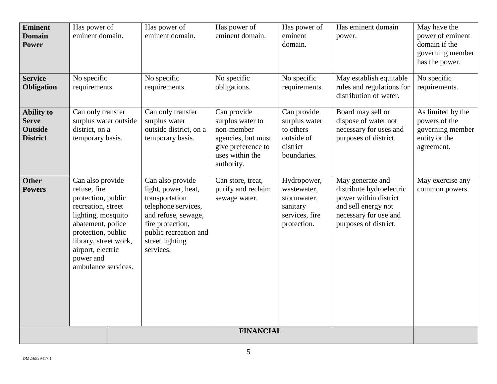| <b>Eminent</b><br><b>Domain</b><br><b>Power</b>                        | Has power of<br>eminent domain.                                                                                                                                                                                                 | Has power of<br>eminent domain.                                                                                                                                                      | Has power of<br>eminent domain.                                                                                            | Has power of<br>eminent<br>domain.                                                     | Has eminent domain<br>power.                                                                                                                   | May have the<br>power of eminent<br>domain if the<br>governing member<br>has the power. |  |
|------------------------------------------------------------------------|---------------------------------------------------------------------------------------------------------------------------------------------------------------------------------------------------------------------------------|--------------------------------------------------------------------------------------------------------------------------------------------------------------------------------------|----------------------------------------------------------------------------------------------------------------------------|----------------------------------------------------------------------------------------|------------------------------------------------------------------------------------------------------------------------------------------------|-----------------------------------------------------------------------------------------|--|
| <b>Service</b><br>Obligation                                           | No specific<br>requirements.                                                                                                                                                                                                    | No specific<br>requirements.                                                                                                                                                         | No specific<br>obligations.                                                                                                | No specific<br>requirements.                                                           | May establish equitable<br>rules and regulations for<br>distribution of water.                                                                 | No specific<br>requirements.                                                            |  |
| <b>Ability to</b><br><b>Serve</b><br><b>Outside</b><br><b>District</b> | Can only transfer<br>surplus water outside<br>district, on a<br>temporary basis.                                                                                                                                                | Can only transfer<br>surplus water<br>outside district, on a<br>temporary basis.                                                                                                     | Can provide<br>surplus water to<br>non-member<br>agencies, but must<br>give preference to<br>uses within the<br>authority. | Can provide<br>surplus water<br>to others<br>outside of<br>district<br>boundaries.     | Board may sell or<br>dispose of water not<br>necessary for uses and<br>purposes of district.                                                   | As limited by the<br>powers of the<br>governing member<br>entity or the<br>agreement.   |  |
| <b>Other</b><br><b>Powers</b>                                          | Can also provide<br>refuse, fire<br>protection, public<br>recreation, street<br>lighting, mosquito<br>abatement, police<br>protection, public<br>library, street work,<br>airport, electric<br>power and<br>ambulance services. | Can also provide<br>light, power, heat,<br>transportation<br>telephone services,<br>and refuse, sewage,<br>fire protection,<br>public recreation and<br>street lighting<br>services. | Can store, treat,<br>purify and reclaim<br>sewage water.                                                                   | Hydropower,<br>wastewater,<br>stormwater,<br>sanitary<br>services, fire<br>protection. | May generate and<br>distribute hydroelectric<br>power within district<br>and sell energy not<br>necessary for use and<br>purposes of district. | May exercise any<br>common powers.                                                      |  |
| <b>FINANCIAL</b>                                                       |                                                                                                                                                                                                                                 |                                                                                                                                                                                      |                                                                                                                            |                                                                                        |                                                                                                                                                |                                                                                         |  |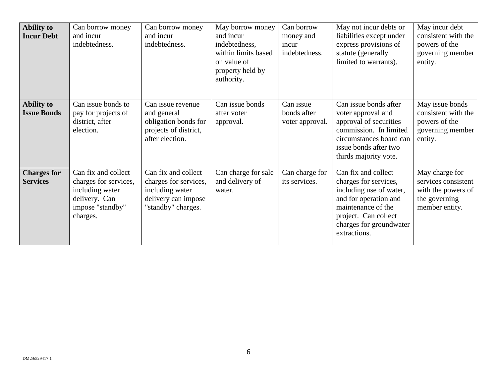| <b>Ability to</b><br><b>Incur Debt</b>  | Can borrow money<br>and incur<br>indebtedness.                                                                   | Can borrow money<br>and incur<br>indebtedness.                                                               | May borrow money<br>and incur<br>indebtedness,<br>within limits based<br>on value of<br>property held by<br>authority. | Can borrow<br>money and<br>incur<br>indebtedness. | May not incur debts or<br>liabilities except under<br>express provisions of<br>statute (generally<br>limited to warrants).                                                                | May incur debt<br>consistent with the<br>powers of the<br>governing member<br>entity.          |
|-----------------------------------------|------------------------------------------------------------------------------------------------------------------|--------------------------------------------------------------------------------------------------------------|------------------------------------------------------------------------------------------------------------------------|---------------------------------------------------|-------------------------------------------------------------------------------------------------------------------------------------------------------------------------------------------|------------------------------------------------------------------------------------------------|
| <b>Ability to</b><br><b>Issue Bonds</b> | Can issue bonds to<br>pay for projects of<br>district, after<br>election.                                        | Can issue revenue<br>and general<br>obligation bonds for<br>projects of district,<br>after election.         | Can issue bonds<br>after voter<br>approval.                                                                            | Can issue<br>bonds after<br>voter approval.       | Can issue bonds after<br>voter approval and<br>approval of securities<br>commission. In limited<br>circumstances board can<br>issue bonds after two<br>thirds majority vote.              | May issue bonds<br>consistent with the<br>powers of the<br>governing member<br>entity.         |
| <b>Charges for</b><br><b>Services</b>   | Can fix and collect<br>charges for services,<br>including water<br>delivery. Can<br>impose "standby"<br>charges. | Can fix and collect<br>charges for services,<br>including water<br>delivery can impose<br>"standby" charges. | Can charge for sale<br>and delivery of<br>water.                                                                       | Can charge for<br>its services.                   | Can fix and collect<br>charges for services,<br>including use of water,<br>and for operation and<br>maintenance of the<br>project. Can collect<br>charges for groundwater<br>extractions. | May charge for<br>services consistent<br>with the powers of<br>the governing<br>member entity. |